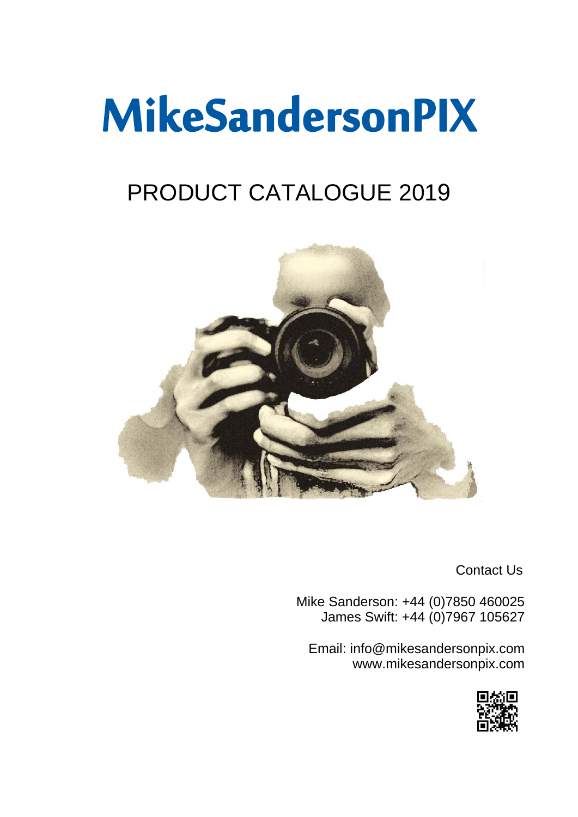## MikeSandersonPIX

## PRODUCT CATALOGUE 2019



Contact Us

Mike Sanderson: +44 (0)7850 460025 James Swift: +44 (0)7967 105627

Email: info@mikesandersonpix.com www.mikesandersonpix.com